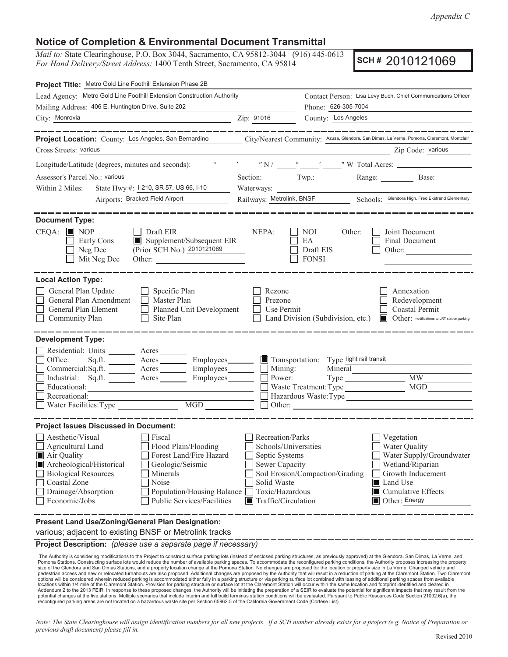*Appendix C*

## **Notice of Completion & Environmental Document Transmittal**

*Mail to:* State Clearinghouse, P.O. Box 3044, Sacramento, CA 95812-3044 (916) 445-0613 *For Hand Delivery/Street Address:* 1400 Tenth Street, Sacramento, CA 95814

**SCH #** 2010121069

| Project Title: Metro Gold Line Foothill Extension Phase 2B                                                                                                                                                                                                                                                                                                             |                                                                                                                                                                                                                                                                                                                                                |  |  |
|------------------------------------------------------------------------------------------------------------------------------------------------------------------------------------------------------------------------------------------------------------------------------------------------------------------------------------------------------------------------|------------------------------------------------------------------------------------------------------------------------------------------------------------------------------------------------------------------------------------------------------------------------------------------------------------------------------------------------|--|--|
| Lead Agency: Metro Gold Line Foothill Extension Construction Authority                                                                                                                                                                                                                                                                                                 | Contact Person: Lisa Levy Buch, Chief Communications Officer                                                                                                                                                                                                                                                                                   |  |  |
| Mailing Address: 406 E. Huntington Drive, Suite 202                                                                                                                                                                                                                                                                                                                    | Phone: 626-305-7004                                                                                                                                                                                                                                                                                                                            |  |  |
| City: Monrovia                                                                                                                                                                                                                                                                                                                                                         | Zip: 91016<br>County: Los Angeles                                                                                                                                                                                                                                                                                                              |  |  |
|                                                                                                                                                                                                                                                                                                                                                                        |                                                                                                                                                                                                                                                                                                                                                |  |  |
| Project Location: County: Los Angeles, San Bernardino                                                                                                                                                                                                                                                                                                                  | City/Nearest Community: Azusa, Glendora, San Dimas, La Verne, Pomona, Claremont, Montclair                                                                                                                                                                                                                                                     |  |  |
| Cross Streets: various                                                                                                                                                                                                                                                                                                                                                 | Zip Code: various                                                                                                                                                                                                                                                                                                                              |  |  |
|                                                                                                                                                                                                                                                                                                                                                                        |                                                                                                                                                                                                                                                                                                                                                |  |  |
| Assessor's Parcel No.: various                                                                                                                                                                                                                                                                                                                                         | Section: Twp.: Range: Base:                                                                                                                                                                                                                                                                                                                    |  |  |
| State Hwy #: 1-210, SR 57, US 66, 1-10<br>Within 2 Miles:                                                                                                                                                                                                                                                                                                              |                                                                                                                                                                                                                                                                                                                                                |  |  |
| Airports: Brackett Field Airport                                                                                                                                                                                                                                                                                                                                       | Railways: Metrolink, BNSF Schools: Glendora High, Fred Ekstrand Elementary                                                                                                                                                                                                                                                                     |  |  |
| <b>Document Type:</b>                                                                                                                                                                                                                                                                                                                                                  |                                                                                                                                                                                                                                                                                                                                                |  |  |
| $CEQA:$ MOP<br>$\Box$ Draft EIR<br>Supplement/Subsequent EIR<br>Early Cons<br>(Prior SCH No.) 2010121069<br>Neg Dec<br>Mit Neg Dec                                                                                                                                                                                                                                     | NEPA:<br>Joint Document<br>NOI<br>Other:<br>EA<br>Final Document<br>Draft EIS<br>Other:<br><b>FONSI</b>                                                                                                                                                                                                                                        |  |  |
| <b>Local Action Type:</b><br>General Plan Update<br>$\Box$ Specific Plan<br>General Plan Amendment<br>$\Box$ Master Plan<br>General Plan Element<br>Planned Unit Development<br>Community Plan<br>Site Plan<br>$\Box$                                                                                                                                                  | Rezone<br>Annexation<br>Redevelopment<br>Prezone<br>Coastal Permit<br>Use Permit<br>Land Division (Subdivision, etc.) <b>In Other:</b> modifications to LRT station parking                                                                                                                                                                    |  |  |
| <b>Development Type:</b><br>Residential: Units ________ Acres _______<br>Office:<br>Acres Employees<br>Sq.ft.<br>Commercial:Sq.ft. ________ Acres _________ Employees ________ __ Mining:<br>Industrial: Sq.ft.<br>Acres<br>Educational:<br>Recreational:<br>$\begin{tabular}{ c c } \hline \text{MGD} & \text{---} \\ \hline \end{tabular}$<br>Water Facilities: Type | $\blacksquare$ Transportation: Type light rail transit<br>Mineral<br><b>MW</b><br>Power:<br>$\rm MGD$<br>Waste Treatment: Type<br>Hazardous Waste:Type                                                                                                                                                                                         |  |  |
| <b>Project Issues Discussed in Document:</b>                                                                                                                                                                                                                                                                                                                           |                                                                                                                                                                                                                                                                                                                                                |  |  |
| Aesthetic/Visual<br>Fiscal<br>$\Box$ Agricultural Land<br>Flood Plain/Flooding<br>Forest Land/Fire Hazard<br>Air Quality<br>Archeological/Historical<br>Geologic/Seismic<br><b>Biological Resources</b><br>Minerals<br>Noise<br>Coastal Zone<br>Drainage/Absorption<br>Population/Housing Balance<br>Economic/Jobs<br>Public Services/Facilities                       | Recreation/Parks<br>Vegetation<br>Schools/Universities<br>Water Quality<br>Water Supply/Groundwater<br>Septic Systems<br>Sewer Capacity<br>Wetland/Riparian<br>Soil Erosion/Compaction/Grading<br>Growth Inducement<br>Solid Waste<br>Land Use<br>Toxic/Hazardous<br>$\blacksquare$ Cumulative Effects<br>Traffic/Circulation<br>Other: Energy |  |  |
| Present Land Use/Zoning/General Plan Designation:                                                                                                                                                                                                                                                                                                                      |                                                                                                                                                                                                                                                                                                                                                |  |  |

various; adjacent to existing BNSF or Metrolink tracks

**Project Description:** *(please use a separate page if necessary)*

The Authority is considering modifications to the Project to construct surface parking lots (instead of enclosed parking structures, as previously approved) at the Glendora, San Dimas, La Verne, and<br>Pomona Stations. Constr The Authority is considering modifications to the Project to construct surface parking lots (instead of enclosed parking structures, as previously approved) at the Glendora, San Dimas, La Verne, and pedestrian access and new or relocated turnabouts are also proposed. Additional changes are proposed by the Authority that will result in a reduction of parking at the Claremont Station. Two Claremont options will be considered wherein reduced parking is accommodated either fully in a parking structure or via parking surface lot combined with leasing of additional parking spaces from available<br>locations within 1/4 mile Addendum 2 to the 2013 FEIR. In response to these proposed changes, the Authority will be initiating the preparation of a SEIR to evaluate the potential for significant impacts that may result from the<br>potential changes at reconfigured parking areas are not located on a hazardous waste site per Section 65962.5 of the California Government Code (Cortese List).

*Note: The State Clearinghouse will assign identification numbers for all new projects. If a SCH number already exists for a project (e.g. Notice of Preparation or previous draft document) please fill in.*